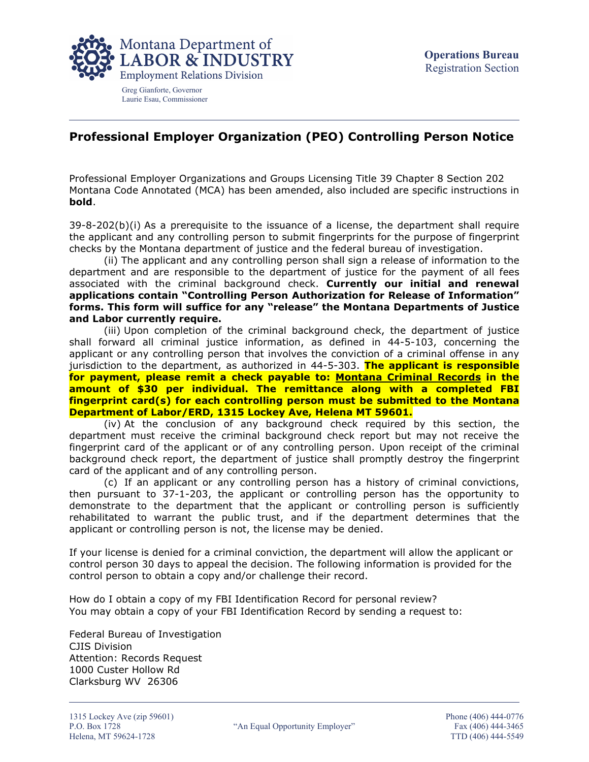

Greg Gianforte, Governor Laurie Esau, Commissioner

## **Professional Employer Organization (PEO) Controlling Person Notice**

Professional Employer Organizations and Groups Licensing Title 39 Chapter 8 Section 202 Montana Code Annotated (MCA) has been amended, also included are specific instructions in **bold**.

 $39-8-202(b)(i)$  As a prerequisite to the issuance of a license, the department shall require the applicant and any controlling person to submit fingerprints for the purpose of fingerprint checks by the Montana department of justice and the federal bureau of investigation.

(ii) The applicant and any controlling person shall sign a release of information to the department and are responsible to the department of justice for the payment of all fees associated with the criminal background check. **Currently our initial and renewal applications contain "Controlling Person Authorization for Release of Information" forms. This form will suffice for any "release" the Montana Departments of Justice and Labor currently require.**

(iii) Upon completion of the criminal background check, the department of justice shall forward all criminal justice information, as defined in 44-5-103, concerning the applicant or any controlling person that involves the conviction of a criminal offense in any jurisdiction to the department, as authorized in 44-5-303. **The applicant is responsible for payment, please remit a check payable to: Montana Criminal Records in the amount of \$30 per individual. The remittance along with a completed FBI fingerprint card(s) for each controlling person must be submitted to the Montana Department of Labor/ERD, 1315 Lockey Ave, Helena MT 59601.**

(iv) At the conclusion of any background check required by this section, the department must receive the criminal background check report but may not receive the fingerprint card of the applicant or of any controlling person. Upon receipt of the criminal background check report, the department of justice shall promptly destroy the fingerprint card of the applicant and of any controlling person.

(c) If an applicant or any controlling person has a history of criminal convictions, then pursuant to 37-1-203, the applicant or controlling person has the opportunity to demonstrate to the department that the applicant or controlling person is sufficiently rehabilitated to warrant the public trust, and if the department determines that the applicant or controlling person is not, the license may be denied.

If your license is denied for a criminal conviction, the department will allow the applicant or control person 30 days to appeal the decision. The following information is provided for the control person to obtain a copy and/or challenge their record.

How do I obtain a copy of my FBI Identification Record for personal review? You may obtain a copy of your FBI Identification Record by sending a request to:

Federal Bureau of Investigation CJIS Division Attention: Records Request 1000 Custer Hollow Rd Clarksburg WV 26306